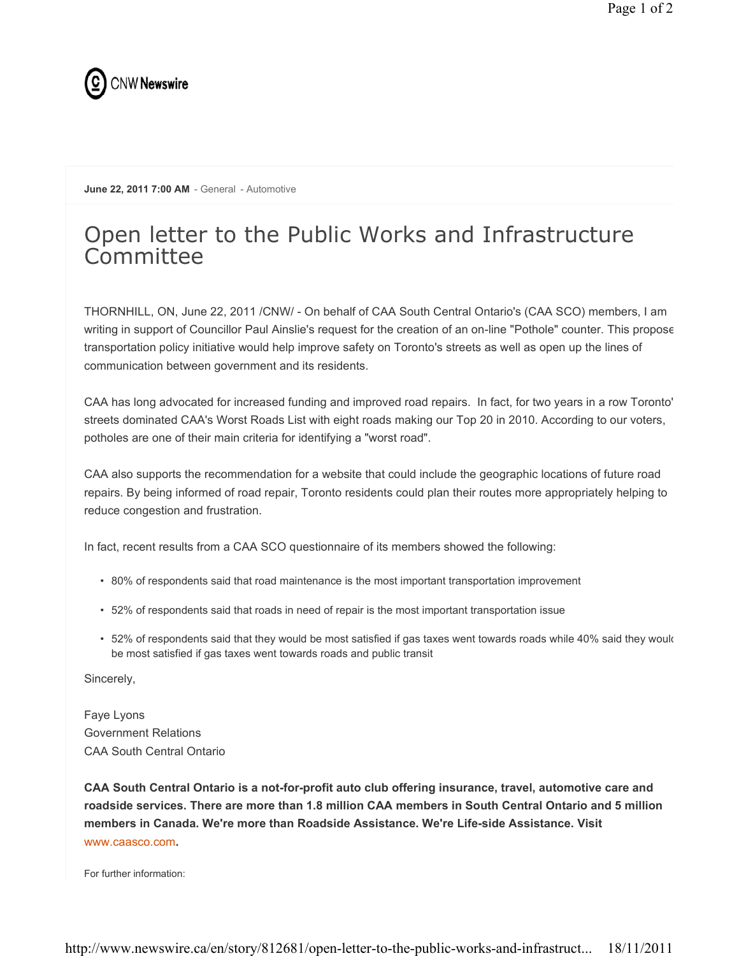

June 22, 2011 7:00 AM - General - Automotive

## Open letter to the Public Works and Infrastructure **Committee**

THORNHILL, ON, June 22, 2011 /CNW/ - On behalf of CAA South Central Ontario's (CAA SCO) members, I am writing in support of Councillor Paul Ainslie's request for the creation of an on-line "Pothole" counter. This propose transportation policy initiative would help improve safety on Toronto's streets as well as open up the lines of communication between government and its residents.

CAA has long advocated for increased funding and improved road repairs. In fact, for two years in a row Toronto' streets dominated CAA's Worst Roads List with eight roads making our Top 20 in 2010. According to our voters, potholes are one of their main criteria for identifying a "worst road".

CAA also supports the recommendation for a website that could include the geographic locations of future road repairs. By being informed of road repair, Toronto residents could plan their routes more appropriately helping to reduce congestion and frustration.

In fact, recent results from a CAA SCO questionnaire of its members showed the following:

- 80% of respondents said that road maintenance is the most important transportation improvement
- 52% of respondents said that roads in need of repair is the most important transportation issue
- 52% of respondents said that they would be most satisfied if gas taxes went towards roads while 40% said they would be most satisfied if gas taxes went towards roads and public transit

Sincerely,

Faye Lyons Government Relations CAA South Central Ontario

CAA South Central Ontario is a not-for-profit auto club offering insurance, travel, automotive care and roadside services. There are more than 1.8 million CAA members in South Central Ontario and 5 million members in Canada. We're more than Roadside Assistance. We're Life-side Assistance. Visit www.caasco.com.

For further information: